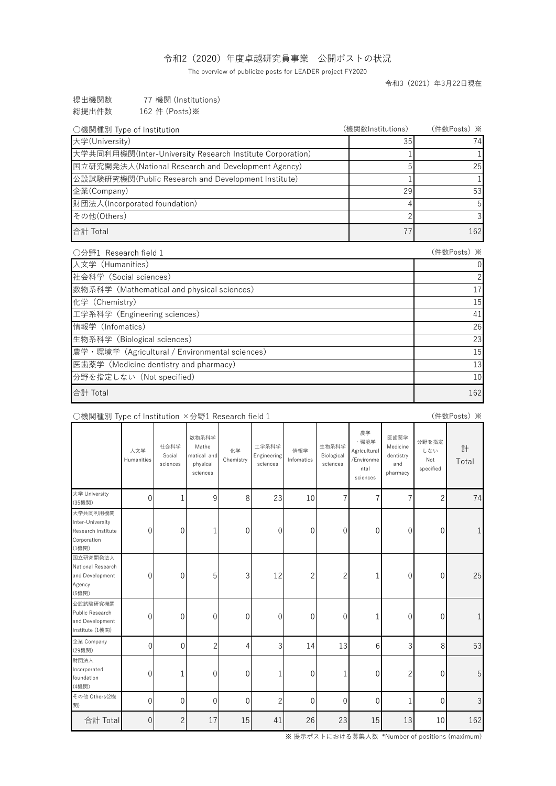## 令和2(2020)年度卓越研究員事業 公開ポストの状況

The overview of publicize posts for LEADER project FY2020

令和3(2021)年3月22日現在

| 提出機関数 | 77 機関 (Institutions) |
|-------|----------------------|
| 総提出件数 | 162 件 (Posts)※       |

| ○機関種別 Type of Institution                                 | (機関数Institutions) | (件数Posts) ※ |
|-----------------------------------------------------------|-------------------|-------------|
| 大学(University)                                            | 35                | 74          |
| 大学共同利用機関(Inter-University Research Institute Corporation) |                   |             |
| 国立研究開発法人(National Research and Development Agency)        | 5                 | 25          |
| 公設試験研究機関(Public Research and Development Institute)       |                   |             |
| 企業(Company)                                               | 29                | 53          |
| 財団法人(Incorporated foundation)                             |                   | 5           |
| その他(Others)                                               |                   |             |
| 合計 Total                                                  | 77                | 162         |
| ○分野1 Research field 1                                     |                   | (件数Posts) ※ |
| 人文学 (Humanities)                                          |                   | 0           |
| 社会科学 (Social sciences)                                    |                   |             |
| 数物系科学 (Mathematical and physical sciences)                |                   | 17          |
| 化学 (Chemistry)                                            |                   | 15          |
| 工学系科学 (Engineering sciences)                              |                   | 41          |
| 情報学 (Infomatics)                                          |                   | 26          |
| 生物系科学 (Biological sciences)                               |                   | 23          |
| 農学・環境学 (Agricultural / Environmental sciences)            |                   | 15          |
| 医歯薬学 (Medicine dentistry and pharmacy)                    |                   | 13          |
| 分野を指定しない (Not specified)                                  |                   | 10          |
| 合計 Total                                                  |                   | 162         |

# ○機関種別 Type of Institution ×分野1 Research field 1

(件数Posts)※

|                                                                            | 人文学<br>Humanities | 社会科学<br>Social<br>sciences | 数物系科学<br>Mathe<br>matical and<br>physical<br>sciences | 化学<br>Chemistry | 工学系科学<br>Engineering<br>sciences | 情報学<br>Infomatics | 生物系科学<br>Biological<br>sciences | 農学<br>·環境学<br>Agricultural<br>/Environme<br>ntal<br>sciences | 医歯薬学<br>Medicine<br>dentistry<br>and<br>pharmacy | 分野を指定<br>しない<br>Not<br>specified | 計<br>Total    |
|----------------------------------------------------------------------------|-------------------|----------------------------|-------------------------------------------------------|-----------------|----------------------------------|-------------------|---------------------------------|--------------------------------------------------------------|--------------------------------------------------|----------------------------------|---------------|
| 大学 University<br>(35機関)                                                    | $\mathbf{0}$      | 1                          | $9\,$                                                 | 8               | 23                               | 10                | 7                               | 7                                                            | 7                                                | $\overline{c}$                   | 74            |
| 大学共同利用機関<br>Inter-University<br>Research Institute<br>Corporation<br>(1機関) | $\mathbf{0}$      | 0                          | 1                                                     | $\overline{0}$  | $\mathbf 0$                      | $\mathbf 0$       | $\overline{0}$                  | 0                                                            | 0                                                | $\overline{0}$                   |               |
| 国立研究開発法人<br>National Research<br>and Development<br>Agency<br>(5機関)        | $\mathbf 0$       | 0                          | 5                                                     | 3               | 12                               | $\overline{c}$    | $\overline{c}$                  | 1                                                            | 0                                                | $\overline{0}$                   | 25            |
| 公設試験研究機関<br>Public Research<br>and Development<br>Institute (1機関)          | $\mathbf 0$       | 0                          | $\mathbf 0$                                           | $\theta$        | $\theta$                         | $\overline{0}$    | $\overline{0}$                  | 1                                                            | 0                                                | $\overline{0}$                   |               |
| 企業 Company<br>(29機関)                                                       | $\overline{0}$    | 0                          | $\overline{c}$                                        | 4               | 3                                | 14                | 13                              | 6                                                            | 3                                                | 8                                | 53            |
| 財団法人<br>Incorporated<br>foundation<br>(4機関)                                | $\mathbf{0}$      | $\mathbf{1}$               | $\mathbf 0$                                           | $\overline{0}$  | $\mathbf{1}$                     | $\theta$          | 1                               | $\mathbf{0}$                                                 | $\overline{c}$                                   | $\overline{0}$                   | 5             |
| その他 Others(2機<br>関)                                                        | $\mathbf 0$       | 0                          | 0                                                     | $\overline{0}$  | $\overline{2}$                   | $\overline{0}$    | $\overline{0}$                  | $\overline{0}$                                               | 1                                                | $\mathbf{0}$                     | $\mathcal{S}$ |
| 合計 Total                                                                   | $\theta$          | $\overline{2}$             | 17                                                    | 15              | 41                               | 26                | 23                              | 15                                                           | 13                                               | 10                               | 162           |

※ 提示ポストにおける募集人数 \*Number of positions (maximum)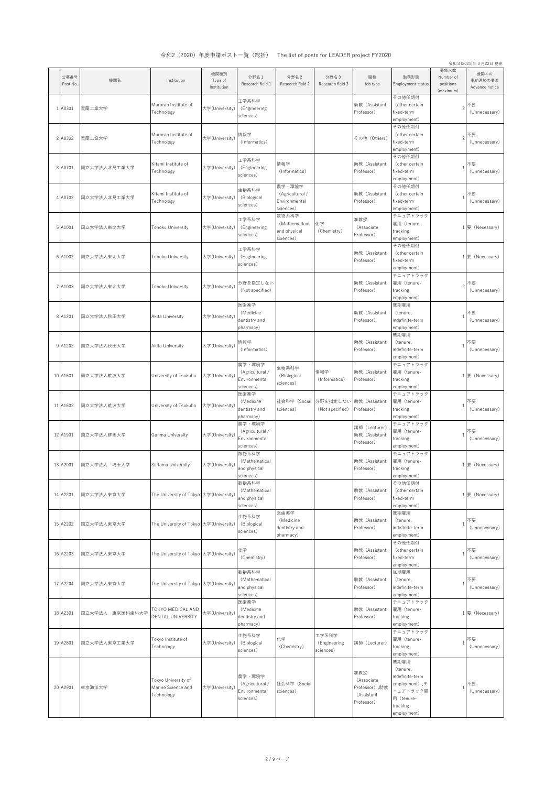|                  |                 |                                                         |                                |                                                         |                                                         |                                    |                                                                |                                                                                                           |                                             | 令和 3 (2021)年3月22日 現在              |
|------------------|-----------------|---------------------------------------------------------|--------------------------------|---------------------------------------------------------|---------------------------------------------------------|------------------------------------|----------------------------------------------------------------|-----------------------------------------------------------------------------------------------------------|---------------------------------------------|-----------------------------------|
| 公募番号<br>Post No. | 機関名             | Institution                                             | 機関種別<br>Type of<br>Institution | 分野名 1<br>Research field 1                               | 分野名2<br>Research field 2                                | 分野名3<br>Research field 3           | 職種<br>Job type                                                 | 勤務形態<br>Employment status                                                                                 | 募集人数<br>Number of<br>positions<br>(maximum) | 機関への<br>事前連絡の要否<br>Advance notice |
| 1 A0301          | 室蘭工業大学          | Muroran Institute of<br>Technology                      | 大学(University)                 | 工学系科学<br>(Engineering<br>sciences)                      |                                                         |                                    | 助教 (Assistant<br>Professor)                                    | その他任期付<br>(other certain<br>fixed-term<br>employment)                                                     | $\overline{c}$                              | 不要<br>(Unnecessary)               |
| 2 A0302          | 室蘭工業大学          | Muroran Institute of<br>Technology                      | 大学(University)                 | 情報学<br>(Informatics)                                    |                                                         |                                    | その他 (Others)                                                   | その他任期付<br>(other certain<br>fixed-term<br>employment)                                                     | $\overline{c}$                              | 不要<br>(Unnecessary)               |
| 3 A0701          | 国立大学法人北見工業大学    | Kitami Institute of<br>Technology                       | 大学(University)                 | 工学系科学<br>(Engineering<br>sciences)                      | 情報学<br>(Informatics)                                    |                                    | 助教 (Assistant<br>Professor)                                    | その他任期付<br>(other certain<br>fixed-term<br>employment)                                                     | $\mathbf{1}$                                | 不要<br>(Unnecessary)               |
| 4 A0702          | 国立大学法人北見工業大学    | Kitami Institute of<br>Technology                       | 大学(University)                 | 生物系科学<br>(Biological<br>sciences)                       | 農学・環境学<br>(Agricultural /<br>Environmental<br>sciences) |                                    | 助教 (Assistant<br>Professor)                                    | その他任期付<br>(other certain<br>fixed-term<br>employment)                                                     |                                             | 不要<br>(Unnecessary)               |
| 5 A1001          | 国立大学法人東北大学      | Tohoku University                                       | 大学(University)                 | 工学系科学<br>(Engineering<br>sciences)                      | 数物系科学<br>(Mathematical<br>and physical<br>sciences)     | 化学<br>(Chemistry)                  | 准教授<br>(Associate<br>Professor)                                | テニュアトラック<br>雇用(tenure-<br>tracking<br>employment)                                                         | $\mathbf{1}$                                | 要 (Necessary)                     |
| 6 A1002          | 国立大学法人東北大学      | Tohoku University                                       | 大学(University)                 | 工学系科学<br>(Engineering<br>sciences)                      |                                                         |                                    | 助教 (Assistant<br>Professor)                                    | その他任期付<br>(other certain<br>fixed-term<br>employment)                                                     | $\mathbf{1}$                                | 要 (Necessary)                     |
| 7 A1003          | 国立大学法人東北大学      | Tohoku University                                       | 大学(University)                 | 分野を指定しない<br>(Not specified)                             |                                                         |                                    | 助教 (Assistant<br>Professor)                                    | テニュアトラック<br>雇用(tenure-<br>tracking<br>employment)                                                         | $\overline{c}$                              | 不要<br>(Unnecessary)               |
| 8 A1201          | 国立大学法人秋田大学      | Akita University                                        | 大学(University)                 | 医歯薬学<br>(Medicine<br>dentistry and<br>pharmacy)         |                                                         |                                    | 助教 (Assistant<br>Professor)                                    | 無期雇用<br>(tenure.<br>indefinite-term<br>employment)                                                        |                                             | 不要<br>(Unnecessary)               |
| 9 A1202          | 国立大学法人秋田大学      | Akita University                                        | 大学(University)                 | 情報学<br>(Informatics)                                    |                                                         |                                    | 助教 (Assistant<br>Professor)                                    | 無期雇用<br>(tenure,<br>indefinite-term<br>employment)                                                        | $\overline{1}$                              | 不要<br>(Unnecessary)               |
| 10 A1601         | 国立大学法人筑波大学      | University of Tsukuba                                   | 大学(University)                 | 農学・環境学<br>(Agricultural /<br>Environmental<br>sciences) | 生物系科学<br>(Biological<br>sciences)                       | 情報学<br>(Informatics)               | 助教 (Assistant<br>Professor)                                    | テニュアトラック<br>雇用(tenure-<br>tracking<br>employment)                                                         |                                             | 1要 (Necessary)                    |
| 11 A1602         | 国立大学法人筑波大学      | University of Tsukuba                                   | 大学(University)                 | 医歯薬学<br>(Medicine<br>dentistry and<br>pharmacy)         | 社会科学 (Social<br>sciences)                               | 分野を指定しない<br>(Not specified)        | 助教 (Assistant<br>Professor)                                    | テニュアトラック<br>雇用(tenure-<br>tracking<br>employment)                                                         |                                             | 不要<br>(Unnecessary)               |
| 12 A1901         | 国立大学法人群馬大学      | Gunma University                                        | 大学(University                  | 農学・環境学<br>(Agricultural /<br>Environmental<br>sciences) |                                                         |                                    | 講師 (Lecturer)<br>助教 (Assistant<br>Professor)                   | テニュアトラック<br>雇用(tenure-<br>tracking<br>employment)                                                         | $\mathbf{1}$                                | 不要<br>(Unnecessary)               |
| 13 A2001         | 国立大学法人 埼玉大学     | Saitama University                                      | 大学(University)                 | 数物系科学<br>(Mathematical<br>and physical<br>sciences)     |                                                         |                                    | 助教(Assistant<br>Professor)                                     | テニュアトラック<br>雇用 (tenure-<br>tracking<br>employment)                                                        |                                             | 1要 (Necessary)                    |
| 14 A2201         | 国立大学法人東京大学      | The University of Tokyo 大学(University)                  |                                | 数物系科学<br>(Mathematical<br>and physical<br>sciences)     |                                                         |                                    | 助教 (Assistant<br>Professor)                                    | その他任期付<br>(other certain<br>fixed-term<br>employment)                                                     |                                             | 1要 (Necessary)                    |
| 15 A2202         | 国立大学法人東京大学      | The University of Tokyo 大学(University)                  |                                | 生物系科学<br>(Biological<br>sciences)                       | 医歯薬学<br>(Medicine<br>dentistry and<br>pharmacy)         |                                    | 助教 (Assistant<br>Professor)                                    | 無期雇用<br>(tenure,<br>indefinite-term<br>employment)                                                        | $\mathbf{1}$                                | 不要<br>(Unnecessary)               |
| 16 A2203         | 国立大学法人東京大学      | The University of Tokyo 大学(University)                  |                                | 化学<br>(Chemistry)                                       |                                                         |                                    | 助教 (Assistant<br>Professor)                                    | その他任期付<br>(other certain<br>fixed-term<br>employment)                                                     | $\overline{1}$                              | 不要<br>(Unnecessary)               |
| 17 A2204         | 国立大学法人東京大学      | The University of Tokyo 大学(University)                  |                                | 数物系科学<br>(Mathematical<br>and physical<br>sciences)     |                                                         |                                    | 助教 (Assistant<br>Professor)                                    | 無期雇用<br>(tenure,<br>indefinite-term<br>employment)                                                        | $\mathbf{1}$                                | 不要<br>(Unnecessary)               |
| 18 A2301         | 国立大学法人 東京医科歯科大学 | TOKYO MEDICAL AND<br><b>DENTAL UNIVERSITY</b>           | 大学(University)                 | 医歯薬学<br>(Medicine<br>dentistry and<br>pharmacy)         |                                                         |                                    | 助教 (Assistant<br>Professor)                                    | テニュアトラック<br>雇用 (tenure-<br>tracking<br>employment)                                                        | $\mathbf{1}$                                | 要 (Necessary)                     |
| 19 A2801         | 国立大学法人東京工業大学    | Tokyo Institute of<br>Technology                        | 大学(University)                 | 生物系科学<br>(Biological<br>sciences)                       | 化学<br>(Chemistry)                                       | 工学系科学<br>(Engineering<br>sciences) | 講師 (Lecturer)                                                  | テニュアトラック<br>雇用(tenure-<br>tracking<br>employment)                                                         | $\mathbf{1}$                                | 不要<br>(Unnecessary)               |
| 20 A2901         | 東京海洋大学          | Tokyo University of<br>Marine Science and<br>Technology | 大学(University                  | 農学・環境学<br>(Agricultural /<br>Environmental<br>sciences) | 社会科学 (Social<br>sciences)                               |                                    | 准教授<br>(Associate<br>Professor),助教<br>(Assistant<br>Professor) | 無期雇用<br>(tenure,<br>indefinite-term<br>employment),テ<br>ニュアトラック雇<br>用 (tenure-<br>tracking<br>employment) | 1                                           | 不要<br>(Unnecessary)               |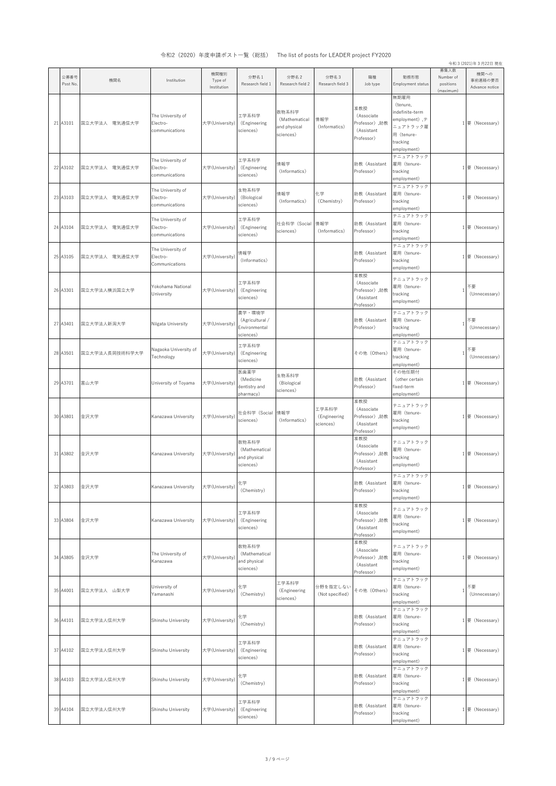|                  |                |                                                 |                                |                                                         |                                                     |                                    |                                                                 |                                                                                                           |                                             | 令和 3 (2021)年3月22日 現在              |
|------------------|----------------|-------------------------------------------------|--------------------------------|---------------------------------------------------------|-----------------------------------------------------|------------------------------------|-----------------------------------------------------------------|-----------------------------------------------------------------------------------------------------------|---------------------------------------------|-----------------------------------|
| 公募番号<br>Post No. | 機関名            | Institution                                     | 機関種別<br>Type of<br>Institution | 分野名1<br>Research field 1                                | 分野名2<br>Research field 2                            | 分野名3<br>Research field 3           | 職種<br>Job type                                                  | 勤務形態<br>Employment status                                                                                 | 募集人数<br>Number of<br>positions<br>(maximum) | 機関への<br>事前連絡の要否<br>Advance notice |
| 21 A3101         | 国立大学法人 電気通信大学  | The University of<br>Electro-<br>communications | 大学(University)                 | 工学系科学<br>(Engineering<br>sciences)                      | 数物系科学<br>(Mathematical<br>and physical<br>sciences) | 情報学<br>(Informatics)               | 准教授<br>(Associate<br>Professor),助教<br>(Assistant<br>Professor)  | 無期雇用<br>(tenure,<br>indefinite-term<br>employment),テ<br>ニュアトラック雇<br>用 (tenure-<br>tracking<br>employment) |                                             | 1要 (Necessary)                    |
| 22 A3102         | 国立大学法人 電気通信大学  | The University of<br>Electro-<br>communications | 大学(University)                 | 工学系科学<br>(Engineering<br>sciences)                      | 情報学<br>(Informatics)                                |                                    | 助教 (Assistant<br>Professor)                                     | テニュアトラック<br>雇用 (tenure-<br>tracking<br>employment)                                                        |                                             | 1要 (Necessary)                    |
| 23 A3103         | 国立大学法人 電気通信大学  | The University of<br>Electro-<br>communications | 大学(University)                 | 生物系科学<br>(Biological<br>sciences)                       | 情報学<br>(Informatics)                                | 化学<br>(Chemistry)                  | 助教 (Assistant<br>Professor)                                     | テニュアトラック<br>雇用 (tenure-<br>tracking<br>employment)                                                        |                                             | 1要 (Necessary)                    |
| 24 A3104         | 国立大学法人 電気通信大学  | The University of<br>Electro-<br>communications | 大学(University)                 | 工学系科学<br>(Engineering<br>sciences)                      | 社会科学 (Social<br>sciences)                           | 情報学<br>(Informatics)               | 助教(Assistant<br>Professor)                                      | テニュアトラック<br>雇用(tenure-<br>tracking<br>employment)                                                         |                                             | 1要 (Necessary)                    |
| 25 A3105         | 国立大学法人 電気通信大学  | The University of<br>Electro-<br>Communications | 大学(University)                 | 情報学<br>(Informatics)                                    |                                                     |                                    | 助教(Assistant<br>Professor)                                      | テニュアトラック<br>雇用 (tenure-<br>tracking<br>employment)                                                        |                                             | 1要 (Necessary)                    |
| 26 A3301         | 国立大学法人横浜国立大学   | Yokohama National<br>University                 | 大学(University)                 | 工学系科学<br>(Engineering<br>sciences)                      |                                                     |                                    | 准教授<br>(Associate<br>Professor) ,助教<br>(Assistant<br>Professor) | テニュアトラック<br>雇用 (tenure-<br>tracking<br>employment)                                                        | 1                                           | 不要<br>(Unnecessary)               |
| 27 A3401         | 国立大学法人新潟大学     | Niigata University                              | 大学(University)                 | 農学・環境学<br>(Agricultural /<br>Environmental<br>sciences) |                                                     |                                    | 助教 (Assistant<br>Professor)                                     | テニュアトラック<br>雇用 (tenure-<br>tracking<br>employment)                                                        | 1                                           | 不要<br>(Unnecessary)               |
| 28 A3501         | 国立大学法人長岡技術科学大学 | Nagaoka University of<br>Technology             | 大学(University)                 | 工学系科学<br>(Engineering<br>sciences)                      |                                                     |                                    | その他 (Others)                                                    | テニュアトラック<br>雇用(tenure-<br>tracking<br>employment)                                                         | 1                                           | 不要<br>(Unnecessary)               |
| 29 A3701         | 富山大学           | University of Toyama                            | 大学(University)                 | 医歯薬学<br>(Medicine<br>dentistry and<br>pharmacy)         | 生物系科学<br>(Biological<br>sciences)                   |                                    | 助教 (Assistant<br>Professor)                                     | その他任期付<br>(other certain<br>fixed-term<br>employment)                                                     |                                             | 1要 (Necessary)                    |
| 30 A3801         | 金沢大学           | Kanazawa University                             | 大学(University)                 | 社会科学(Social<br>sciences)                                | 情報学<br>(Informatics)                                | 工学系科学<br>(Engineering<br>sciences) | 准教授<br>(Associate<br>Professor) ,助教<br>(Assistant<br>Professor) | テニュアトラック<br>雇用 (tenure-<br>tracking<br>employment)                                                        |                                             | 1要 (Necessary)                    |
| 31 A3802         | 金沢大学           | Kanazawa University                             | 大学(University)                 | 数物系科学<br>(Mathematical<br>and physical<br>sciences)     |                                                     |                                    | 准教授<br>(Associate<br>Professor) ,助教<br>(Assistant<br>Professor) | テニュアトラック<br>雇用 (tenure-<br>tracking<br>employment)                                                        |                                             | 1要 (Necessary)                    |
| 32 A3803         | 金沢大学           | Kanazawa University                             | 大学(University)                 | 化学<br>(Chemistry)                                       |                                                     |                                    | 助教(Assistant<br>Professor)                                      | テニュアトラック<br>雇用 (tenure-<br>tracking<br>employment)                                                        |                                             | 1要 (Necessary)                    |
| 33 A3804         | 金沢大学           | Kanazawa University                             | 大学(University)                 | 工学系科学<br>(Engineering<br>sciences)                      |                                                     |                                    | 准教授<br>(Associate<br>Professor),助教<br>(Assistant<br>Professor)  | テニュアトラック<br>雇用 (tenure-<br>tracking<br>employment)                                                        |                                             | 1 要 (Necessary)                   |
| 34 A3805         | 金沢大学           | The University of<br>Kanazawa                   | 大学(University)                 | 数物系科学<br>(Mathematical<br>and physical<br>sciences)     |                                                     |                                    | 准教授<br>(Associate<br>Professor) ,助教<br>(Assistant<br>Professor) | テニュアトラック<br>雇用 (tenure-<br>tracking<br>employment)                                                        |                                             | 1要 (Necessary)                    |
| 35 A4001         | 国立大学法人 山梨大学    | University of<br>Yamanashi                      | 大学(University)                 | 化学<br>(Chemistry)                                       | 工学系科学<br>(Engineering<br>sciences)                  | 分野を指定しない<br>(Not specified)        | その他 (Others)                                                    | テニュアトラック<br>雇用 (tenure-<br>tracking<br>employment)                                                        | 1                                           | 不要<br>(Unnecessary)               |
| 36 A4101         | 国立大学法人信州大学     | Shinshu University                              | 大学(University)                 | 化学<br>(Chemistry)                                       |                                                     |                                    | 助教(Assistant<br>Professor)                                      | テニュアトラック<br>雇用 (tenure-<br>tracking<br>employment)                                                        |                                             | 1要 (Necessary)                    |
| 37 A4102         | 国立大学法人信州大学     | Shinshu University                              | 大学(University)                 | 工学系科学<br>(Engineering<br>sciences)                      |                                                     |                                    | 助教 (Assistant<br>Professor)                                     | テニュアトラック<br>雇用(tenure-<br>tracking<br>employment)                                                         |                                             | 1要 (Necessary)                    |
| 38 A4103         | 国立大学法人信州大学     | Shinshu University                              | 大学(University)                 | 化学<br>(Chemistry)                                       |                                                     |                                    | 助教(Assistant<br>Professor)                                      | テニュアトラック<br>雇用(tenure-<br>tracking<br>employment)                                                         |                                             | 1要 (Necessary)                    |
| 39 A4104         | 国立大学法人信州大学     | Shinshu University                              | 大学(University)                 | 工学系科学<br>(Engineering<br>sciences)                      |                                                     |                                    | 助教 (Assistant<br>Professor)                                     | テニュアトラック<br>雇用(tenure-<br>tracking<br>employment)                                                         |                                             | 1要 (Necessary)                    |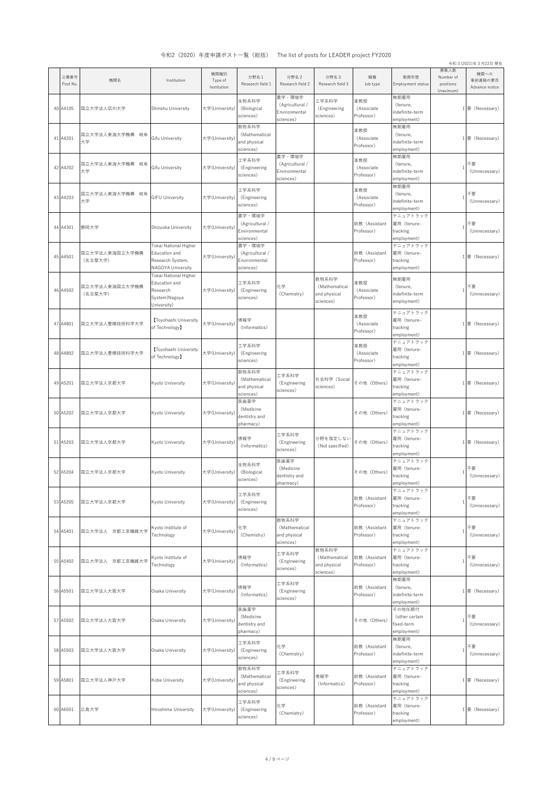|                  |                           |                                                                                    |                                |                                                         |                                                         |                                                     |                                 |                                                       |                                             | 令和 3 (2021)年3月22日 現在              |
|------------------|---------------------------|------------------------------------------------------------------------------------|--------------------------------|---------------------------------------------------------|---------------------------------------------------------|-----------------------------------------------------|---------------------------------|-------------------------------------------------------|---------------------------------------------|-----------------------------------|
| 公募番号<br>Post No. | 機関名                       | Institution                                                                        | 機関種別<br>Type of<br>Institution | 分野名1<br>Research field 1                                | 分野名2<br>Research field 2                                | 分野名3<br>Research field 3                            | 職種<br>Job type                  | 勤務形態<br>Employment status                             | 募集人数<br>Number of<br>positions<br>(maximum) | 機関への<br>事前連絡の要否<br>Advance notice |
| 40 A4105         | 国立大学法人信州大学                | Shinshu University                                                                 | 大学(University)                 | 生物系科学<br>(Biological<br>sciences)                       | 農学・環境学<br>(Agricultural /<br>Environmental<br>sciences) | 工学系科学<br>(Engineering<br>sciences)                  | 准教授<br>(Associate<br>Professor) | 無期雇用<br>(tenure,<br>indefinite-term<br>employment)    | $\mathbf{1}$                                | 要 (Necessary)                     |
| 41 A4201         | 国立大学法人東海大学機構 岐阜<br>大学     | Gifu University                                                                    | 大学(University)                 | 数物系科学<br>(Mathematical<br>and physical<br>sciences)     |                                                         |                                                     | 准教授<br>(Associate<br>Professor) | 無期雇用<br>(tenure,<br>indefinite-term<br>employment)    |                                             | 1要 (Necessary)                    |
| 42 A4202         | 国立大学法人東海大学機構 岐阜<br>大学     | Gifu University                                                                    | 大学(University)                 | 工学系科学<br>(Engineering<br>sciences)                      | 農学・環境学<br>(Agricultural /<br>Environmental<br>sciences) |                                                     | 准教授<br>(Associate<br>Professor) | 無期雇用<br>(tenure,<br>indefinite-term<br>employment)    | $\mathbf{1}$                                | 不要<br>(Unnecessary)               |
| 43 A4203         | 国立大学法人東海大学機構 岐阜<br>大学     | <b>GIFU University</b>                                                             | 大学(University)                 | 工学系科学<br>(Engineering<br>sciences)                      |                                                         |                                                     | 准教授<br>(Associate<br>Professor) | 無期雇用<br>(tenure,<br>indefinite-term<br>employment)    | $\mathbf{1}$                                | 不要<br>(Unnecessary)               |
| 44 A4301         | 静岡大学                      | Shizuoka University                                                                | 大学(University)                 | 農学・環境学<br>(Agricultural /<br>Environmental<br>sciences) |                                                         |                                                     | 助教 (Assistant<br>Professor)     | テニュアトラック<br>雇用(tenure-<br>tracking<br>employment)     | $\mathbf{1}$                                | 不要<br>(Unnecessary)               |
| 45 A4501         | 国立大学法人東海国立大学機構<br>(名古屋大学) | Tokai National Higher<br>Education and<br>Research System,<br>NAGOYA University    | 大学(University)                 | 農学・環境学<br>(Agricultural /<br>Environmental<br>sciences) |                                                         |                                                     | 助教 (Assistant<br>Professor)     | テニュアトラック<br>雇用 (tenure-<br>tracking<br>employment)    | $\mathbf{1}$                                | 要 (Necessary)                     |
| 46 A4502         | 国立大学法人東海国立大学機構<br>(名古屋大学) | Tokai National Higher<br>Education and<br>Research<br>System(Nagoya<br>University) | 大学(University)                 | 工学系科学<br>(Engineering<br>sciences)                      | 化学<br>(Chemistry)                                       | 数物系科学<br>(Mathematical<br>and physical<br>sciences) | 准教授<br>(Associate<br>Professor) | 無期雇用<br>(tenure,<br>indefinite-term<br>employment)    | $\overline{1}$                              | 不要<br>(Unnecessary)               |
| 47 A4801         | 国立大学法人豊橋技術科学大学            | Toyohashi University<br>of Technology】                                             | 大学(University)                 | 情報学<br>(Informatics)                                    |                                                         |                                                     | 准教授<br>(Associate<br>Professor) | テニュアトラック<br>雇用 (tenure-<br>tracking<br>employment)    | $\mathbf{1}$                                | 要 (Necessary)                     |
| 48 A4802         | 国立大学法人豊橋技術科学大学            | Toyohashi University<br>of Technology】                                             | 大学(University)                 | 工学系科学<br>(Engineering<br>sciences)                      |                                                         |                                                     | 准教授<br>(Associate<br>Professor) | テニュアトラック<br>雇用 (tenure-<br>tracking<br>employment)    |                                             | 1要 (Necessary)                    |
| 49 A5201         | 国立大学法人京都大学                | Kyoto University                                                                   | 大学(University)                 | 数物系科学<br>(Mathematical<br>and physical<br>sciences)     | 工学系科学<br>(Engineering<br>sciences)                      | 社会科学(Social<br>sciences)                            | その他(Others)                     | テニュアトラック<br>雇用(tenure-<br>tracking<br>employment)     | 1                                           | 要 (Necessary)                     |
| 50 A5202         | 国立大学法人京都大学                | Kyoto University                                                                   | 大学(University)                 | 医歯薬学<br>(Medicine<br>dentistry and<br>pharmacy)         |                                                         |                                                     | その他 (Others)                    | テニュアトラック<br>雇用(tenure-<br>tracking<br>employment)     |                                             | 1要 (Necessary)                    |
| 51 A5203         | 国立大学法人京都大学                | Kyoto University                                                                   | 大学(University)                 | 情報学<br>(Informatics)                                    | 工学系科学<br>(Engineering<br>sciences)                      | 分野を指定しない<br>(Not specified)                         | その他 (Others)                    | テニュアトラック<br>雇用(tenure-<br>tracking<br>employment)     |                                             | 1要 (Necessary)                    |
| 52 A5204         | 国立大学法人京都大学                | Kyoto University                                                                   | 大学(University)                 | 生物系科学<br>(Biological<br>sciences)                       | 医歯薬学<br>(Medicine<br>dentistry and<br>pharmacy)         |                                                     | その他 (Others)                    | テニュアトラック<br>雇用 (tenure-<br>tracking<br>employment)    | $\mathbf{1}$                                | 不要<br>(Unnecessary)               |
| 53 A5205         | 国立大学法人京都大学                | Kyoto University                                                                   | 大学(University)                 | 工学系科学<br>(Engineering<br>sciences)                      |                                                         |                                                     | 助教 (Assistant<br>Professor)     | テニュアトラック<br>雇用 (tenure-<br>tracking<br>employment)    | $\overline{1}$                              | 不要<br>(Unnecessary)               |
| 54 A5401         | 国立大学法人 京都工芸繊維大学           | Kyoto Institute of<br>Technology                                                   | 大学(University)                 | 化学<br>(Chemistry)                                       | 数物系科学<br>(Mathematical<br>and physical<br>sciences)     |                                                     | 助教 (Assistant<br>Professor)     | テニュアトラック<br>雇用 (tenure-<br>tracking<br>employment)    | $\overline{1}$                              | 不要<br>(Unnecessary)               |
| 55 A5402         | 国立大学法人 京都工芸繊維大学           | Kyoto Institute of<br>Technology                                                   | 大学(University)                 | 情報学<br>(Informatics)                                    | 工学系科学<br>(Engineering<br>sciences)                      | 数物系科学<br>(Mathematical<br>and physical<br>sciences) | 助教(Assistant<br>Professor)      | テニュアトラック<br>雇用 (tenure-<br>tracking<br>employment)    | $\overline{1}$                              | 不要<br>(Unnecessary)               |
| 56 A5501         | 国立大学法人大阪大学                | Osaka University                                                                   | 大学(University)                 | 情報学<br>(Informatics)                                    | 工学系科学<br>(Engineering<br>sciences)                      |                                                     | 助教 (Assistant<br>Professor)     | 無期雇用<br>(tenure,<br>indefinite-term<br>employment)    |                                             | 1要 (Necessary)                    |
| 57 A5502         | 国立大学法人大阪大学                | Osaka University                                                                   | 大学(University)                 | 医歯薬学<br>(Medicine<br>dentistry and<br>pharmacy)         |                                                         |                                                     | その他 (Others)                    | その他任期付<br>(other certain<br>fixed-term<br>employment) | $\mathbf{1}$                                | 不要<br>(Unnecessary)               |
| 58 A5503         | 国立大学法人大阪大学                | Osaka University                                                                   | 大学(University)                 | 工学系科学<br>(Engineering<br>sciences)                      | 化学<br>(Chemistry)                                       |                                                     | 助教 (Assistant<br>Professor)     | 無期雇用<br>(tenure,<br>indefinite-term<br>employment)    | $\mathbf{1}$                                | 不要<br>(Unnecessary)               |
| 59 A5801         | 国立大学法人神戸大学                | Kobe University                                                                    | 大学(University)                 | 数物系科学<br>(Mathematical<br>and physical<br>sciences)     | 工学系科学<br>(Engineering<br>sciences)                      | 情報学<br>(Informatics)                                | 助教 (Assistant<br>Professor)     | テニュアトラック<br>雇用 (tenure-<br>tracking<br>employment)    | $\mathbf{1}$                                | 要 (Necessary)                     |
| 60 A6501         | 広島大学                      | Hiroshima University                                                               | 大学(University)                 | 工学系科学<br>(Engineering<br>sciences)                      | 化学<br>(Chemistry)                                       |                                                     | 助教 (Assistant<br>Professor)     | テニュアトラック<br>雇用 (tenure-<br>tracking<br>employment)    |                                             | 1要 (Necessary)                    |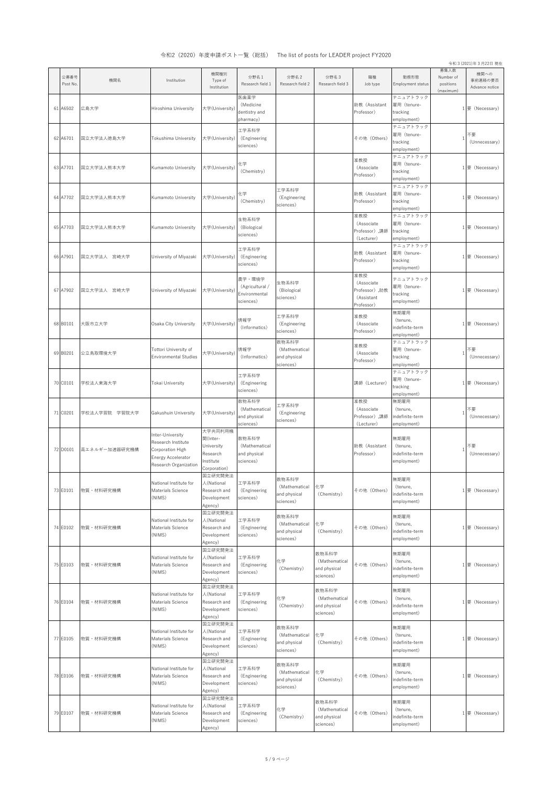|                  |               | 1) 4H 4 (4040) 구 (文 구 매 성 : 2 : 1                                                                         |                                                                            | 見 (心川ノ                                                  |                                                     | THE HOLDI POSIS TOP LEADER PROJECT TEDEO            |                                                                 |                                                    |                                             | 令和 3 (2021)年3月22日 現在              |
|------------------|---------------|-----------------------------------------------------------------------------------------------------------|----------------------------------------------------------------------------|---------------------------------------------------------|-----------------------------------------------------|-----------------------------------------------------|-----------------------------------------------------------------|----------------------------------------------------|---------------------------------------------|-----------------------------------|
| 公募番号<br>Post No. | 機関名           | Institution                                                                                               | 機関種別<br>Type of<br>Institution                                             | 分野名1<br>Research field 1                                | 分野名2<br>Research field 2                            | 分野名3<br>Research field 3                            | 職種<br>Job type                                                  | 動務形態<br>Employment status                          | 募集人数<br>Number of<br>positions<br>(maximum) | 機関への<br>事前連絡の要否<br>Advance notice |
| 61 A6502         | 広島大学          | Hiroshima University                                                                                      | 大学(University)                                                             | 医歯薬学<br>(Medicine<br>dentistry and<br>pharmacy)         |                                                     |                                                     | 助教 (Assistant<br>Professor)                                     | テニュアトラック<br>雇用 (tenure-<br>tracking<br>employment) |                                             | 1要 (Necessary)                    |
| 62 A6701         | 国立大学法人徳島大学    | Tokushima University                                                                                      | 大学(University)                                                             | 工学系科学<br>(Engineering<br>sciences)                      |                                                     |                                                     | その他 (Others)                                                    | テニュアトラック<br>雇用 (tenure-<br>tracking<br>employment) | -1                                          | (Unnecessary)                     |
| 63 A7701         | 国立大学法人熊本大学    | Kumamoto University                                                                                       | 大学(University)                                                             | 化学<br>(Chemistry)                                       |                                                     |                                                     | 准教授<br>(Associate<br>Professor)                                 | テニュアトラック<br>雇用 (tenure-<br>tracking<br>employment) |                                             | 1要 (Necessary)                    |
| 64 A7702         | 国立大学法人熊本大学    | Kumamoto University                                                                                       | 大学(University)                                                             | 化学<br>(Chemistry)                                       | 工学系科学<br>(Engineering<br>sciences)                  |                                                     | 助教 (Assistant<br>Professor)                                     | テニュアトラック<br>雇用 (tenure-<br>tracking<br>employment) |                                             | 1要 (Necessary)                    |
| 65 A7703         | 国立大学法人熊本大学    | Kumamoto University                                                                                       | 大学(University)                                                             | 生物系科学<br>(Biological<br>sciences)                       |                                                     |                                                     | 准教授<br>(Associate<br>Professor) ,講師<br>(Lecturer)               | テニュアトラック<br>雇用 (tenure-<br>tracking<br>employment) |                                             | 1要 (Necessary)                    |
| 66 A7901         | 国立大学法人 宮崎大学   | University of Miyazaki                                                                                    | 大学(University)                                                             | 工学系科学<br>(Engineering<br>sciences)                      |                                                     |                                                     | 助教 (Assistant<br>Professor)                                     | テニュアトラック<br>雇用 (tenure-<br>tracking<br>employment) |                                             | 1要 (Necessary)                    |
| 67 A7902         | 国立大学法人 宮崎大学   | University of Miyazaki                                                                                    | 大学(University)                                                             | 農学・環境学<br>(Agricultural /<br>Environmental<br>sciences) | 生物系科学<br>(Biological<br>sciences)                   |                                                     | 准教授<br>(Associate<br>Professor) ,助教<br>(Assistant<br>Professor) | テニュアトラック<br>雇用 (tenure-<br>tracking<br>employment) |                                             | 1要 (Necessary)                    |
| 68 B0101         | 大阪市立大学        | Osaka City University                                                                                     | 大学(University)                                                             | 情報学<br>(Informatics)                                    | 工学系科学<br>(Engineering<br>sciences)                  |                                                     | 准教授<br>(Associate<br>Professor)                                 | 無期雇用<br>(tenure,<br>indefinite-term<br>employment) |                                             | 1要 (Necessary)                    |
| 69 B0201         | 公立鳥取環境大学      | Tottori University of<br>Environmental Studies                                                            | 大学(University)                                                             | 情報学<br>(Informatics)                                    | 数物系科学<br>(Mathematical<br>and physical<br>sciences) |                                                     | 准教授<br>(Associate<br>Professor)                                 | テニュアトラック<br>雇用 (tenure-<br>tracking<br>employment) | -1                                          | 不要<br>(Unnecessary)               |
| 70 C0101         | 学校法人東海大学      | Tokai University                                                                                          | 大学(University)                                                             | 工学系科学<br>(Engineering<br>sciences)                      |                                                     |                                                     | 講師 (Lecturer)                                                   | テニュアトラック<br>雇用(tenure-<br>tracking<br>employment)  |                                             | 1要 (Necessary)                    |
| 71 C0201         | 学校法人学習院 学習院大学 | Gakushuin University                                                                                      | 大学(University)                                                             | 数物系科学<br>(Mathematical<br>and physical<br>sciences)     | 工学系科学<br>(Engineering<br>sciences)                  |                                                     | 准教授<br>(Associate<br>Professor) ,講師<br>(Lecturer)               | 無期雇用<br>(tenure,<br>indefinite-term<br>employment) | -1                                          | 不要<br>(Unnecessary)               |
| 72 D0101         | 高エネルギー加速器研究機構 | Inter-University<br>Research Institute<br>Corporation High<br>Energy Accelerator<br>Research Organization | 大学共同利用機<br>関(Inter-<br>University<br>Research<br>Institute<br>Corporation) | 数物系科学<br>(Mathematical<br>and physical<br>sciences)     |                                                     |                                                     | 助教 (Assistant<br>Professor)                                     | 無期雇用<br>(tenure,<br>indefinite-term<br>employment) |                                             | 不要<br>(Unnecessary)               |
| 73 E0101         | 物質・材料研究機構     | National Institute for<br>Materials Science<br>(NIMS)                                                     | 国立研究開発法<br>人(National<br>Research and<br>Development<br>Agency)            | 工学系科学<br>(Engineering<br>sciences)                      | 数物系科学<br>(Mathematical<br>and physical<br>sciences) | 化学<br>(Chemistry)                                   | その他 (Others)                                                    | 無期雇用<br>(tenure,<br>indefinite-term<br>employment) |                                             | 1要 (Necessary)                    |
| 74 E0102         | 物質・材料研究機構     | National Institute for<br>Materials Science<br>(NIMS)                                                     | 国立研究開発法<br>人(National<br>Research and<br>Development<br>Agency)            | 工学系科学<br>(Engineering<br>sciences)                      | 数物系科学<br>(Mathematical<br>and physical<br>sciences) | 化学<br>(Chemistry)                                   | その他 (Others)                                                    | 無期雇用<br>(tenure,<br>indefinite-term<br>employment) |                                             | 1要 (Necessary)                    |
| 75 E0103         | 物質·材料研究機構     | National Institute for<br>Materials Science<br>(NIMS)                                                     | 国立研究開発法<br>人(National<br>Research and<br>Development<br>Agency)            | 工学系科学<br>(Engineering<br>sciences)                      | 化学<br>(Chemistry)                                   | 数物系科学<br>(Mathematical<br>and physical<br>sciences) | その他 (Others)                                                    | 無期雇用<br>(tenure,<br>indefinite-term<br>employment) |                                             | 1要 (Necessary)                    |
| 76 E0104         | 物質・材料研究機構     | National Institute for<br>Materials Science<br>(NIMS)                                                     | 国立研究開発法<br>人(National<br>Research and<br>Development<br>Agency)            | 工学系科学<br>(Engineering<br>sciences)                      | 化学<br>(Chemistry)                                   | 数物系科学<br>(Mathematical<br>and physical<br>sciences) | その他 (Others)                                                    | 無期雇用<br>(tenure,<br>indefinite-term<br>employment) |                                             | 1要 (Necessary)                    |
| 77 E0105         | 物質・材料研究機構     | National Institute for<br>Materials Science<br>(NIMS)                                                     | 国立研究開発法<br>人(National<br>Research and<br>Development<br>Agency)            | 工学系科学<br>(Engineering<br>sciences)                      | 数物系科学<br>(Mathematical<br>and physical<br>sciences) | 化学<br>(Chemistry)                                   | その他 (Others)                                                    | 無期雇用<br>(tenure,<br>indefinite-term<br>employment) |                                             | 1要 (Necessary)                    |
| 78 E0106         | 物質·材料研究機構     | National Institute for<br>Materials Science<br>(NIMS)                                                     | 国立研究開発法<br>人(National<br>Research and<br>Development<br>Agency)            | 工学系科学<br>(Engineering<br>sciences)                      | 数物系科学<br>(Mathematical<br>and physical<br>sciences) | 化学<br>(Chemistry)                                   | その他 (Others)                                                    | 無期雇用<br>(tenure,<br>indefinite-term<br>employment) |                                             | 1要 (Necessary)                    |
| 79 E0107         | 物質・材料研究機構     | National Institute for<br>Materials Science<br>(NIMS)                                                     | 国立研究開発法<br>人(National<br>Research and<br>Development<br>Agency)            | 工学系科学<br>(Engineering<br>sciences)                      | 化学<br>(Chemistry)                                   | 数物系科学<br>(Mathematical<br>and physical<br>sciences) | その他 (Others)                                                    | 無期雇用<br>(tenure,<br>indefinite-term<br>employment) |                                             | 1要 (Necessary)                    |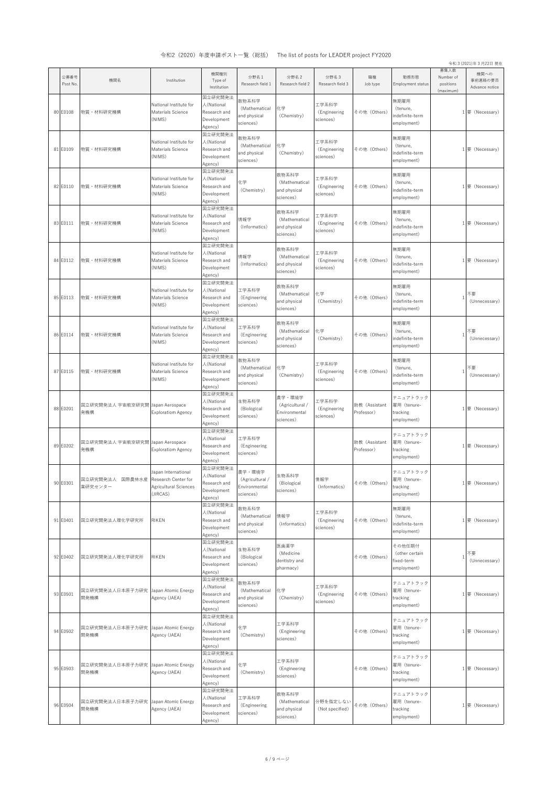|                  |                               |                                                                                 |                                                                 |                                                         |                                                         |                                    |                             |                                                       |                                             | 令和 3 (2021)年3月22日 現在              |
|------------------|-------------------------------|---------------------------------------------------------------------------------|-----------------------------------------------------------------|---------------------------------------------------------|---------------------------------------------------------|------------------------------------|-----------------------------|-------------------------------------------------------|---------------------------------------------|-----------------------------------|
| 公募番号<br>Post No. | 機関名                           | Institution                                                                     | 機関種別<br>Type of<br>Institution                                  | 分野名1<br>Research field 1                                | 分野名2<br>Research field 2                                | 分野名3<br>Research field 3           | 職種<br>Job type              | 勤務形態<br>Employment status                             | 募集人数<br>Number of<br>positions<br>(maximum) | 機関への<br>事前連絡の要否<br>Advance notice |
| 80 E0108         | 物質·材料研究機構                     | National Institute for<br>Materials Science<br>(NIMS)                           | 国立研究開発法<br>人(National<br>Research and<br>Development<br>Agency) | 数物系科学<br>(Mathematical<br>and physical<br>sciences)     | 化学<br>(Chemistry)                                       | 工学系科学<br>(Engineering<br>sciences) | その他 (Others)                | 無期雇用<br>(tenure,<br>indefinite-term<br>employment)    |                                             | 1要 (Necessary)                    |
| 81 E0109         | 物質・材料研究機構                     | National Institute for<br>Materials Science<br>(NIMS)                           | 国立研究開発法<br>人(National<br>Research and<br>Development<br>Agency) | 数物系科学<br>(Mathematical<br>and physical<br>sciences)     | 化学<br>(Chemistry)                                       | 工学系科学<br>(Engineering<br>sciences) | その他 (Others)                | 無期雇用<br>(tenure,<br>indefinite-term<br>employment)    |                                             | 1要 (Necessary)                    |
| 82 E0110         | 物質・材料研究機構                     | National Institute for<br>Materials Science<br>(NIMS)                           | 国立研究開発法<br>人(National<br>Research and<br>Development<br>Agency) | 化学<br>(Chemistry)                                       | 数物系科学<br>(Mathematical<br>and physical<br>sciences)     | 工学系科学<br>(Engineering<br>sciences) | その他 (Others)                | 無期雇用<br>(tenure,<br>indefinite-term<br>employment)    |                                             | 1要 (Necessary)                    |
| 83 E0111         | 物質·材料研究機構                     | National Institute for<br>Materials Science<br>(NIMS)                           | 国立研究開発法<br>人(National<br>Research and<br>Development<br>Agency) | 情報学<br>(Informatics)                                    | 数物系科学<br>(Mathematical<br>and physical<br>sciences)     | 工学系科学<br>(Engineering<br>sciences) | その他 (Others)                | 無期雇用<br>(tenure,<br>indefinite-term<br>employment)    |                                             | 1要 (Necessary)                    |
| 84 E0112         | 物質・材料研究機構                     | National Institute for<br>Materials Science<br>(NIMS)                           | 国立研究開発法<br>人(National<br>Research and<br>Development<br>Agency) | 情報学<br>(Informatics)                                    | 数物系科学<br>(Mathematical<br>and physical<br>sciences)     | 工学系科学<br>(Engineering<br>sciences) | その他 (Others)                | 無期雇用<br>(tenure,<br>indefinite-term<br>employment)    |                                             | 1要 (Necessary)                    |
| 85 E0113         | 物質·材料研究機構                     | National Institute for<br>Materials Science<br>(NIMS)                           | 国立研究開発法<br>人(National<br>Research and<br>Development<br>Agency) | 工学系科学<br>(Engineering<br>sciences)                      | 数物系科学<br>(Mathematical<br>and physical<br>sciences)     | 化学<br>(Chemistry)                  | その他 (Others)                | 無期雇用<br>(tenure,<br>indefinite-term<br>employment)    | -1                                          | 不要<br>(Unnecessary)               |
| 86 E0114         | 物質・材料研究機構                     | National Institute for<br>Materials Science<br>(NIMS)                           | 国立研究開発法<br>人(National<br>Research and<br>Development<br>Agency) | 工学系科学<br>(Engineering<br>sciences)                      | 数物系科学<br>(Mathematical<br>and physical<br>sciences)     | 化学<br>(Chemistry)                  | その他 (Others)                | 無期雇用<br>(tenure,<br>indefinite-term<br>employment)    | -1                                          | 不要<br>(Unnecessary)               |
| 87 E0115         | 物質・材料研究機構                     | National Institute for<br>Materials Science<br>(NIMS)                           | 国立研究開発法<br>人(National<br>Research and<br>Development<br>Agency) | 数物系科学<br>(Mathematical<br>and physical<br>sciences)     | 化学<br>(Chemistry)                                       | 工学系科学<br>(Engineering<br>sciences) | その他 (Others)                | 無期雇用<br>(tenure,<br>indefinite-term<br>employment)    | л                                           | 不要<br>(Unnecessary)               |
| 88 E0201         | 国立研究開発法人 宇宙航空研究開<br>発機構       | Japan Aerospace<br><b>Exploratiom Agency</b>                                    | 国立研究開発法<br>人(National<br>Research and<br>Development<br>Agency) | 生物系科学<br>(Biological<br>sciences)                       | 農学・環境学<br>(Agricultural /<br>Environmental<br>sciences) | 工学系科学<br>(Engineering<br>sciences) | 助教 (Assistant<br>Professor) | テニュアトラック<br>雇用 (tenure-<br>tracking<br>employment)    |                                             | 1要 (Necessary)                    |
| 89 E0202         | 国立研究開発法人 宇宙航空研究開<br>発機構       | Japan Aerospace<br><b>Exploratiom Agency</b>                                    | 国立研究開発法<br>人(National<br>Research and<br>Development<br>Agency) | 工学系科学<br>(Engineering<br>sciences)                      |                                                         |                                    | 助教 (Assistant<br>Professor) | テニュアトラック<br>雇用 (tenure-<br>tracking<br>employment)    |                                             | 1要 (Necessary)                    |
| 90 E0301         | 国立研究開発法人<br>国際農林水産<br>業研究センター | Japan International<br>Research Center for<br>Agricultural Sciences<br>(JIRCAS) | 国立研究開発法<br>人(National<br>Research and<br>Development<br>Agency) | 農学・環境学<br>(Agricultural /<br>Environmental<br>sciences) | 生物系科学<br>(Biological<br>sciences)                       | 情報学<br>(Informatics)               | その他 (Others)                | テニュアトラック<br>雇用 (tenure-<br>tracking<br>employment)    |                                             | 1要 (Necessary)                    |
| 91 E0401         | 国立研究開発法人理化学研究所                | RIKEN                                                                           | 国立研究開発法<br>人(National<br>Research and<br>Development<br>Agency) | 数物系科学<br>(Mathematical<br>and physical<br>sciences)     | 情報学<br>(Informatics)                                    | 工学系科学<br>(Engineering<br>sciences) | その他 (Others)                | 無期雇用<br>(tenure,<br>indefinite-term<br>employment)    |                                             | 1要 (Necessary)                    |
| 92 E0402         | 国立研究開発法人理化学研究所                | RIKEN                                                                           | 国立研究開発法<br>人(National<br>Research and<br>Development<br>Agency) | 生物系科学<br>(Biological<br>sciences)                       | 医歯薬学<br>(Medicine<br>dentistry and<br>pharmacy)         |                                    | その他 (Others)                | その他任期付<br>(other certain<br>fixed-term<br>employment) | -1                                          | 不要<br>(Unnecessary)               |
| 93 E0501         | 国立研究開発法人日本原子力研究<br>開発機構       | Japan Atomic Energy<br>Agency (JAEA)                                            | 国立研究開発法<br>人(National<br>Research and<br>Development<br>Agency) | 数物系科学<br>(Mathematical<br>and physical<br>sciences)     | 化学<br>(Chemistry)                                       | 工学系科学<br>(Engineering<br>sciences) | その他 (Others)                | テニュアトラック<br>雇用 (tenure-<br>tracking<br>employment)    |                                             | 1要 (Necessary)                    |
| 94 E0502         | 国立研究開発法人日本原子力研究<br>開発機構       | Japan Atomic Energy<br>Agency (JAEA)                                            | 国立研究開発法<br>人(National<br>Research and<br>Development<br>Agency) | 化学<br>(Chemistry)                                       | 工学系科学<br>(Engineering<br>sciences)                      |                                    | その他 (Others)                | テニュアトラック<br>雇用 (tenure-<br>tracking<br>employment)    |                                             | 1要 (Necessary)                    |
| 95 E0503         | 国立研究開発法人日本原子力研究<br>開発機構       | Japan Atomic Energy<br>Agency (JAEA)                                            | 国立研究開発法<br>人(National<br>Research and<br>Development<br>Agency) | 化学<br>(Chemistry)                                       | 工学系科学<br>(Engineering<br>sciences)                      |                                    | その他 (Others)                | テニュアトラック<br>雇用 (tenure-<br>tracking<br>employment)    |                                             | 1要 (Necessary)                    |
| 96 E0504         | 国立研究開発法人日本原子力研究<br>開発機構       | Japan Atomic Energy<br>Agency (JAEA)                                            | 国立研究開発法<br>人(National<br>Research and<br>Development<br>Agency) | 工学系科学<br>(Engineering<br>sciences)                      | 数物系科学<br>(Mathematical<br>and physical<br>sciences)     | 分野を指定しない<br>(Not specified)        | その他 (Others)                | テニュアトラック<br>雇用 (tenure-<br>tracking<br>employment)    |                                             | 1要 (Necessary)                    |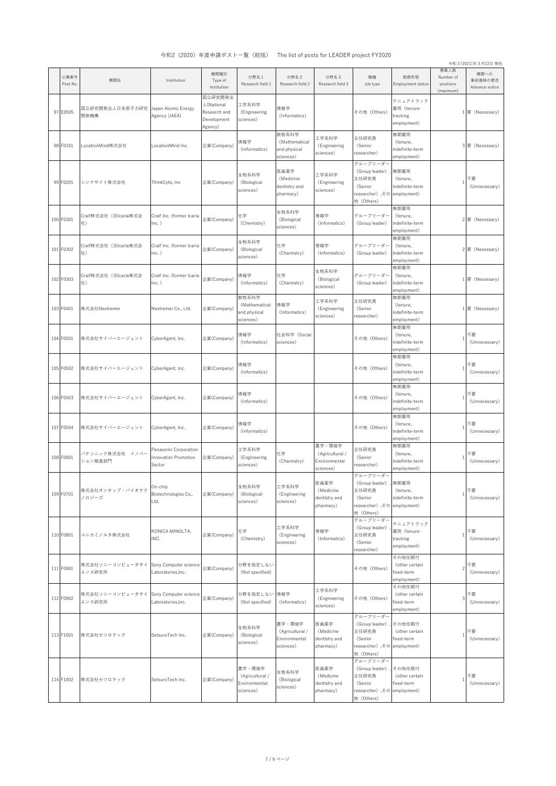|                  |                             |                                                         |                                                                 |                                                         |                                                         |                                                         |                                                                                             |                                                            |                                             | 令和 3 (2021)年3月22日 現在              |
|------------------|-----------------------------|---------------------------------------------------------|-----------------------------------------------------------------|---------------------------------------------------------|---------------------------------------------------------|---------------------------------------------------------|---------------------------------------------------------------------------------------------|------------------------------------------------------------|---------------------------------------------|-----------------------------------|
| 公募番号<br>Post No. | 機関名                         | Institution                                             | 機関種別<br>Type of<br>Institution                                  | 分野名1<br>Research field 1                                | 分野名2<br>Research field 2                                | 分野名3<br>Research field 3                                | 職種<br>Job type                                                                              | 勤務形態<br>Employment status                                  | 募集人数<br>Number of<br>positions<br>(maximum) | 機関への<br>事前連絡の要否<br>Advance notice |
| 97 E0505         | 国立研究開発法人日本原子力研究<br>開発機構     | Japan Atomic Energy<br>Agency (JAEA)                    | 国立研究開発法<br>人(National<br>Research and<br>Development<br>Agency) | 工学系科学<br>(Engineering<br>sciences)                      | 情報学<br>(Informatics)                                    |                                                         | その他 (Others)                                                                                | テニュアトラック<br>雇用 (tenure-<br>tracking<br>employment)         |                                             | 1要 (Necessary)                    |
| 98 F0101         | LocationMind株式会社            | LocationMind Inc.                                       | 企業(Company)                                                     | 情報学<br>(Informatics)                                    | 数物系科学<br>(Mathematical<br>and physical<br>sciences)     | 工学系科学<br>(Engineering<br>sciences)                      | 主任研究員<br>(Senior<br>researcher)                                                             | 無期雇用<br>(tenure,<br>indefinite-term<br>employment)         | 3                                           | 要 (Necessary)                     |
| 99 F0201         | シンクサイト株式会社                  | ThinkCyte, Inc                                          | 企業(Company)                                                     | 生物系科学<br>(Biological<br>sciences)                       | 医歯薬学<br>(Medicine<br>dentistry and<br>pharmacy)         | 工学系科学<br>(Engineering<br>sciences)                      | グループリーダー<br>(Group leader)<br>主任研究員<br>(Senior<br>researcher),その employment)<br>他 (Others)  | 無期雇用<br>(tenure,<br>indefinite-term                        |                                             | 不要<br>(Unnecessary)               |
| 100 F0301        | Craif株式会社 (旧Icaria株式会<br>社) | Craif Inc. (former Icaria<br>$lnc.$ )                   | 企業(Company)                                                     | 化学<br>(Chemistry)                                       | 生物系科学<br>(Biological<br>sciences)                       | 情報学<br>(Informatics)                                    | グループリーダー<br>(Group leader)                                                                  | 無期雇用<br>(tenure,<br>indefinite-term<br>employment)         |                                             | 2要 (Necessary)                    |
| 101 F0302        | Craif株式会社 (旧Icaria株式会<br>社) | Craif Inc. (former Icaria<br>$lnc.$ )                   | 企業(Company)                                                     | 生物系科学<br>(Biological<br>sciences)                       | 化学<br>(Chemistry)                                       | 情報学<br>(Informatics)                                    | グループリーダー<br>(Group leader)                                                                  | 無期雇用<br>(tenure,<br>indefinite-term<br>employment)         | $\overline{c}$                              | 要 (Necessary)                     |
| 102 F0303        | Craif株式会社 (旧Icaria株式会<br>社) | Craif Inc. (former Icaria<br>$lnc.$ )                   | 企業(Company)                                                     | 情報学<br>(Informatics)<br>数物系科学                           | 化学<br>(Chemistry)                                       | 生物系科学<br>(Biological<br>sciences)                       | グループリーダー<br>(Group leader)                                                                  | 無期雇用<br>(tenure,<br>indefinite-term<br>employment)<br>無期雇用 | $\mathbf{1}$                                | 要 (Necessary)                     |
| 103 F0401        | 株式会社Nextremer               | Nextremer Co., Ltd.                                     | 企業(Company)                                                     | (Mathematical<br>and physical<br>sciences)              | 情報学<br>(Informatics)                                    | 工学系科学<br>(Engineering<br>sciences)                      | 主任研究員<br>(Senior<br>researcher)                                                             | (tenure,<br>indefinite-term<br>employment)                 |                                             | 1要 (Necessary)                    |
| 104 F0501        | 株式会社サイバーエージェント              | CyberAgent, Inc.                                        | 企業(Company)                                                     | 情報学<br>(Informatics)                                    | 社会科学(Social<br>sciences)                                |                                                         | その他 (Others)                                                                                | 無期雇用<br>(tenure,<br>indefinite-term<br>employment)         |                                             | 不要<br>(Unnecessary)               |
| 105 F0502        | 株式会社サイバーエージェント              | CyberAgent, Inc.                                        | 企業(Company)                                                     | 情報学<br>(Informatics)                                    |                                                         |                                                         | その他 (Others)                                                                                | 無期雇用<br>(tenure,<br>indefinite-term<br>employment)         | $\mathbf{1}$                                | 不要<br>(Unnecessary)               |
| 106 F0503        | 株式会社サイバーエージェント              | CyberAgent, Inc.                                        | 企業(Company)                                                     | 情報学<br>(Informatics)                                    |                                                         |                                                         | その他 (Others)                                                                                | 無期雇用<br>(tenure,<br>indefinite-term<br>employment)         | $\overline{1}$                              | 不要<br>(Unnecessary)               |
| 107 F0504        | 株式会社サイバーエージェント              | CyberAgent, Inc.                                        | 企業(Company)                                                     | 情報学<br>(Informatics)                                    |                                                         |                                                         | その他 (Others)                                                                                | 無期雇用<br>(tenure,<br>indefinite-term<br>employment)         | $\overline{1}$                              | 不要<br>(Unnecessary)               |
| 108 F0601        | パナソニック株式会社 イノベー<br>ション推進部門  | Panasonic Corporation<br>Innovation Promotion<br>Sector | 企業(Company)                                                     | 工学系科学<br>(Engineering<br>sciences)                      | 化学<br>(Chemistry)                                       | 農学・環境学<br>(Agricultural /<br>Environmental<br>sciences) | 主任研究員<br>(Senior<br>researcher)                                                             | 無期雇用<br>(tenure.<br>indefinite-term<br>employment)         | $\mathbf{1}$                                | 不要<br>(Unnecessary)               |
| 109 F0701        | 株式会社オンチップ・バイオテク<br>ノロジーズ    | On-chip<br>Biotechnologies Co.,<br>Ltd.                 | 企業(Company)                                                     | 生物系科学<br>(Biological<br>sciences)                       | 工学系科学<br>(Engineering<br>sciences)                      | 医歯薬学<br>(Medicine<br>dentistry and<br>pharmacy)         | グループリーダー<br>(Group leader)<br>主任研究員<br>(Senior<br>researcher) 、その employment)<br>他 (Others) | 無期雇用<br>(tenure,<br>indefinite-term                        | $\mathbf{1}$                                | 不要<br>(Unnecessary)               |
| 110 F0801        | コニカミノルタ株式会社                 | KONICA MINOLTA,<br>INC.                                 | 企業(Company)                                                     | 化学<br>(Chemistry)                                       | 工学系科学<br>(Engineering<br>sciences)                      | 情報学<br>(Informatics)                                    | グループリーダー<br>(Group leader)<br>主任研究員<br>(Senior<br>researcher)                               | テニュアトラック<br>雇用 (tenure-<br>tracking<br>employment)         | $\mathbf{1}$                                | 不要<br>(Unnecessary)               |
| 111 F0901        | 株式会社ソニーコンピュータサイ<br>エンス研究所   | Sony Computer science<br>Laboratories, Inc.             | 企業(Company)                                                     | 分野を指定しない<br>(Not specified)                             |                                                         |                                                         | その他 (Others)                                                                                | その他任期付<br>(other certain<br>fixed-term<br>employment)      | $\overline{c}$                              | 不要<br>(Unnecessary)               |
| 112 F0902        | 株式会社ソニーコンピュータサイ<br>エンス研究所   | Sony Computer science<br>Laboratories, Inc.             | 企業(Company)                                                     | 分野を指定しない<br>(Not specified)                             | 情報学<br>(Informatics)                                    | 工学系科学<br>(Engineering<br>sciences)                      | その他 (Others)                                                                                | その他任期付<br>(other certain<br>fixed-term<br>employment)      | 3                                           | 不要<br>(Unnecessary)               |
| 113 F1001        | 株式会社セツロテック                  | SetsuroTech Inc.                                        | 企業(Company)                                                     | 生物系科学<br>(Biological<br>sciences)                       | 農学・環境学<br>(Agricultural /<br>Environmental<br>sciences) | 医歯薬学<br>(Medicine<br>dentistry and<br>pharmacy)         | グループリーダー<br>(Group leader)<br>主任研究員<br>(Senior<br>researcher),その employment)<br>他 (Others)  | その他任期付<br>(other certain<br>fixed-term                     |                                             | 不要<br>(Unnecessary)               |
| 114 F1002        | 株式会社セツロテック                  | SetsuroTech Inc.                                        | 企業(Company)                                                     | 農学・環境学<br>(Agricultural /<br>Environmental<br>sciences) | 生物系科学<br>(Biological<br>sciences)                       | 医歯薬学<br>(Medicine<br>dentistry and<br>pharmacy)         | グループリーダー<br>(Group leader)<br>主任研究員<br>(Senior<br>researcher),その employment)<br>他 (Others)  | その他任期付<br>(other certain<br>fixed-term                     | $\mathbf{1}$                                | 不要<br>(Unnecessary)               |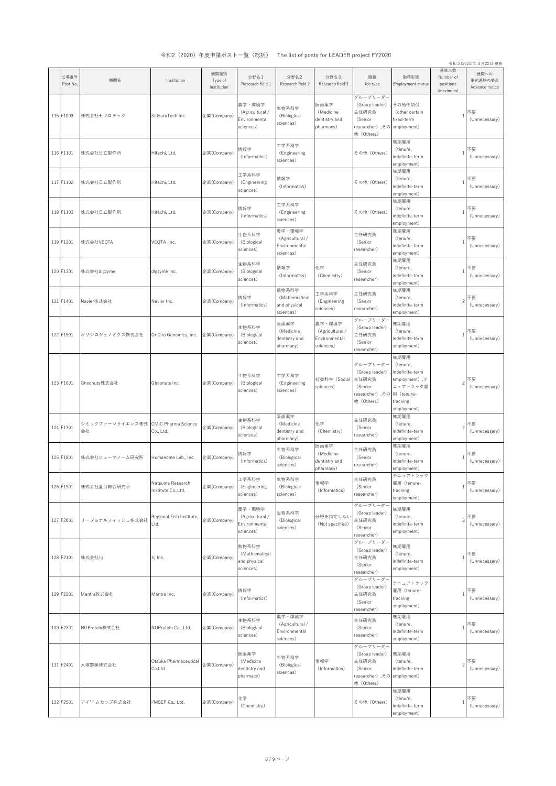|                  |                                           |                                        |                                |                                                         |                                                         |                                                         |                                                                                            |                                                                                             |                                             | 令和 3 (2021)年3月22日 現在              |
|------------------|-------------------------------------------|----------------------------------------|--------------------------------|---------------------------------------------------------|---------------------------------------------------------|---------------------------------------------------------|--------------------------------------------------------------------------------------------|---------------------------------------------------------------------------------------------|---------------------------------------------|-----------------------------------|
| 公募番号<br>Post No. | 機関名                                       | Institution                            | 機関種別<br>Type of<br>Institution | 分野名1<br>Research field 1                                | 分野名2<br>Research field 2                                | 分野名3<br>Research field 3                                | 職種<br>Job type                                                                             | 勤務形態<br>Employment status                                                                   | 募集人数<br>Number of<br>positions<br>(maximum) | 機関への<br>事前連絡の要否<br>Advance notice |
| 115 F1003        | 株式会社セツロテック                                | SetsuroTech Inc.                       | 企業(Company)                    | 農学・環境学<br>(Agricultural /<br>Environmental<br>sciences) | 生物系科学<br>(Biological<br>sciences)                       | 医歯薬学<br>(Medicine<br>dentistry and<br>pharmacy)         | グループリーダー<br>(Group leader)<br>主任研究員<br>(Senior<br>researcher),その employment)<br>他 (Others) | その他任期付<br>(other certain<br>fixed-term                                                      | $\overline{1}$                              | 不要<br>(Unnecessary)               |
| 116 F1101        | 株式会社日立製作所                                 | Hitachi, Ltd.                          | 企業(Company)                    | 情報学<br>(Informatics)                                    | 工学系科学<br>(Engineering<br>sciences)                      |                                                         | その他 (Others)                                                                               | 無期雇用<br>(tenure,<br>indefinite-term<br>employment)                                          | $\overline{1}$                              | 不要<br>(Unnecessary)               |
| 117 F1102        | 株式会社日立製作所                                 | Hitachi, Ltd.                          | 企業(Company)                    | 工学系科学<br>(Engineering<br>sciences)                      | 情報学<br>(Informatics)                                    |                                                         | その他 (Others)                                                                               | 無期雇用<br>(tenure,<br>indefinite-term<br>employment)                                          | $\overline{1}$                              | 不要<br>(Unnecessary)               |
| 118 F1103        | 株式会社日立製作所                                 | Hitachi, Ltd.                          | 企業(Company)                    | 情報学<br>(Informatics)                                    | 工学系科学<br>(Engineering<br>sciences)                      |                                                         | その他 (Others)                                                                               | 無期雇用<br>(tenure,<br>indefinite-term<br>employment)                                          | $\overline{1}$                              | 不要<br>(Unnecessary)               |
| 119 F1201        | 株式会社VEQTA                                 | VEQTA , Inc.                           | 企業(Company)                    | 生物系科学<br>(Biological<br>sciences)                       | 農学・環境学<br>(Agricultural /<br>Environmental<br>sciences) |                                                         | 主任研究員<br>(Senior<br>researcher)                                                            | 無期雇用<br>(tenure,<br>indefinite-term<br>employment)                                          | $\overline{1}$                              | 不要<br>(Unnecessary)               |
| 120 F1301        | 株式会社digzyme                               | digzyme Inc.                           | 企業(Company)                    | 生物系科学<br>(Biological<br>sciences)                       | 情報学<br>(Informatics)                                    | 化学<br>(Chemistry)                                       | 主任研究員<br>(Senior<br>researcher)                                                            | 無期雇用<br>(tenure,<br>indefinite-term<br>employment)                                          | $\overline{1}$                              | 不要<br>(Unnecessary)               |
| 121 F1401        | Navier株式会社                                | Navier Inc.                            | 企業(Company)                    | 情報学<br>(Informatics)                                    | 数物系科学<br>(Mathematical<br>and physical<br>sciences)     | 工学系科学<br>(Engineering<br>sciences)                      | 主任研究員<br>(Senior<br>researcher)                                                            | 無期雇用<br>(tenure,<br>indefinite-term<br>employment)                                          | $\overline{\phantom{a}}$                    | 不要<br>(Unnecessary)               |
| 122 F1501        | オリシロジェノミクス株式会社                            | OriCiro Genomics, Inc.                 | 企業(Company)                    | 生物系科学<br>(Biological<br>sciences)                       | 医歯薬学<br>(Medicine<br>dentistry and<br>pharmacy)         | 農学・環境学<br>(Agricultural /<br>Environmental<br>sciences) | グループリーダー<br>(Group leader)<br>主任研究員<br>(Senior<br>researcher)                              | 無期雇用<br>(tenure,<br>indefinite-term<br>employment)                                          | $\overline{1}$                              | 不要<br>(Unnecessary)               |
| 123 F1601        | Ghoonuts株式会社                              | Ghoonuts Inc.                          | 企業(Company)                    | 生物系科学<br>(Biological<br>sciences)                       | 工学系科学<br>(Engineering<br>sciences)                      | 社会科学(Social<br>sciences)                                | グループリーダー<br>(Group leader)<br>主任研究員<br>(Senior<br>researcher) ,その 用 (tenure-<br>他 (Others) | 無期雇用<br>(tenure,<br>indefinite-term<br>employment),テ<br>ニュアトラック雇<br>tracking<br>employment) | $\overline{\phantom{a}}$                    | 不要<br>(Unnecessary)               |
| 124 F1701        | シミックファーマサイエンス株式 CMIC Pharma Science<br>会社 | Co., Ltd.                              | 企業(Company)                    | 生物系科学<br>(Biological<br>sciences)                       | 医歯薬学<br>(Medicine<br>dentistry and<br>pharmacy)         | 化学<br>(Chemistry)                                       | 主任研究員<br>(Senior<br>researcher)                                                            | 無期雇用<br>(tenure,<br>indefinite-term<br>employment)                                          | $\overline{\phantom{a}}$                    | 不要<br>(Unnecessary)               |
| 125 F1801        | 株式会社ヒューマノーム研究所                            | Humanome Lab., Inc.                    | 企業(Company)                    | 情報学<br>(Informatics)                                    | 生物系科学<br>(Biological<br>sciences)                       | 医歯薬学<br>(Medicine<br>dentistry and<br>pharmacy)         | 主任研究員<br>(Senior<br>researcher)                                                            | 無期雇用<br>(tenure,<br>indefinite-term<br>employment)                                          | $\overline{1}$                              | 不要<br>(Unnecessary)               |
| 126 F1901        | 株式会社夏目綜合研究所                               | Natsume Research<br>Institute,Co.,Ltd. | 企業(Company)                    | 工学系科学<br>(Engineering<br>sciences)                      | 生物系科学<br>(Biological<br>sciences)                       | 情報学<br>(Informatics)                                    | 主任研究員<br>(Senior<br>researcher)                                                            | テニュアトラック<br>雇用 (tenure-<br>tracking<br>employment)                                          | 1                                           | 不要<br>(Unnecessary)               |
| 127 F2001        | リージョナルフィッシュ株式会社                           | Regional Fish Institute,<br>Ltd.       | 企業(Company)                    | 農学・環境学<br>(Agricultural /<br>Environmental<br>sciences) | 生物系科学<br>(Biological<br>sciences)                       | 分野を指定しない<br>(Not specified)                             | グループリーダー<br>(Group leader)<br>主任研究員<br>(Senior<br>'esearcher)                              | 無期雇用<br>(tenure,<br>indefinite-term<br>employment)                                          | 3                                           | 不要<br>(Unnecessary)               |
| 128 F2101        | 株式会社Jij                                   | Jij Inc.                               | 企業(Company)                    | 数物系科学<br>(Mathematical<br>and physical<br>sciences)     |                                                         |                                                         | グループリーダー<br>(Group leader)<br>主任研究員<br>(Senior<br>researcher)                              | 無期雇用<br>(tenure,<br>indefinite-term<br>employment)                                          | 1                                           | 不要<br>(Unnecessary)               |
| 129 F2201        | Mantra株式会社                                | Mantra Inc.                            | 企業(Company)                    | 情報学<br>(Informatics)                                    |                                                         |                                                         | グループリーダー<br>(Group leader)<br>主任研究員<br>(Senior<br>researcher)                              | テニュアトラック<br>雇用 (tenure-<br>tracking<br>employment)                                          | $\overline{1}$                              | 不要<br>(Unnecessary)               |
| 130 F2301        | NUProtein株式会社                             | NUProtein Co., Ltd.                    | 企業(Company)                    | 生物系科学<br>(Biological<br>sciences)                       | 農学・環境学<br>(Agricultural /<br>Environmental<br>sciences) |                                                         | 主任研究員<br>(Senior<br>researcher)                                                            | 無期雇用<br>(tenure,<br>indefinite-term<br>employment)                                          | $\overline{1}$                              | 不要<br>(Unnecessary)               |
| 131 F2401        | 大塚製薬株式会社                                  | Otsuka Pharmaceutical<br>Co.Ltd        | 企業(Company)                    | 医歯薬学<br>(Medicine<br>dentistry and<br>pharmacy)         | 生物系科学<br>(Biological<br>sciences)                       | 情報学<br>(Informatics)                                    | グループリーダー<br>(Group leader)<br>主任研究員<br>(Senior<br>researcher),その employment)<br>他 (Others) | 無期雇用<br>(tenure,<br>indefinite-term                                                         | $\overline{c}$                              | 不要<br>(Unnecessary)               |
| 132 F2501        | アイ'エムセップ株式会社                              | I'MSEP Co., Ltd.                       | 企業(Company)                    | 化学<br>(Chemistry)                                       |                                                         |                                                         | その他 (Others)                                                                               | 無期雇用<br>(tenure,<br>indefinite-term<br>employment)                                          | $\overline{1}$                              | 不要<br>(Unnecessary)               |